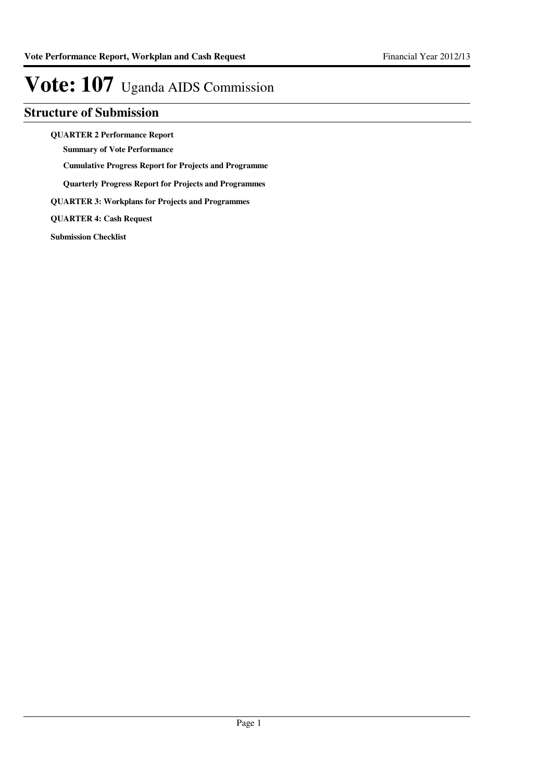## **Structure of Submission**

**QUARTER 2 Performance Report**

**Summary of Vote Performance**

**Cumulative Progress Report for Projects and Programme**

**Quarterly Progress Report for Projects and Programmes**

**QUARTER 3: Workplans for Projects and Programmes**

**QUARTER 4: Cash Request**

**Submission Checklist**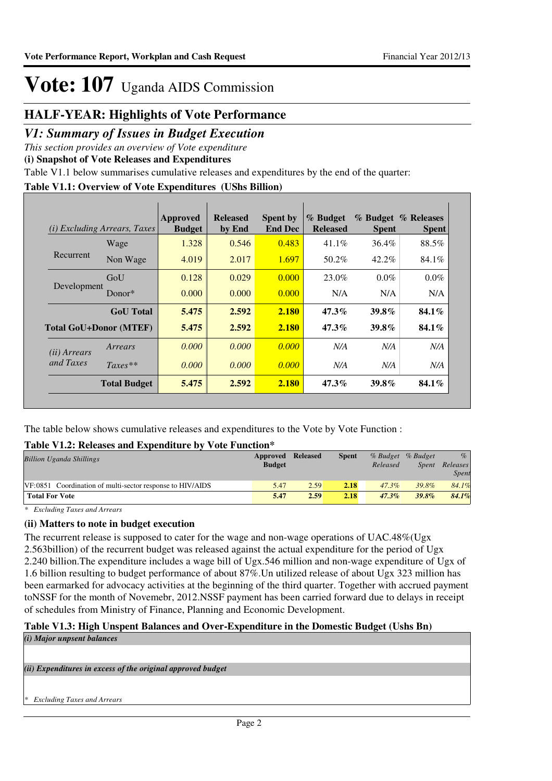## **HALF-YEAR: Highlights of Vote Performance**

## *V1: Summary of Issues in Budget Execution*

*This section provides an overview of Vote expenditure* 

**(i) Snapshot of Vote Releases and Expenditures**

Table V1.1 below summarises cumulative releases and expenditures by the end of the quarter:

### **Table V1.1: Overview of Vote Expenditures (UShs Billion)**

| (i)                   | <i>Excluding Arrears, Taxes</i> | Approved<br><b>Budget</b> | <b>Released</b><br>by End | <b>Spent by</b><br><b>End Dec</b> | % Budget<br><b>Released</b> | <b>Spent</b> | % Budget % Releases<br><b>Spent</b> |
|-----------------------|---------------------------------|---------------------------|---------------------------|-----------------------------------|-----------------------------|--------------|-------------------------------------|
|                       | Wage                            | 1.328                     | 0.546                     | 0.483                             | $41.1\%$                    | 36.4%        | 88.5%                               |
| Recurrent             | Non Wage                        | 4.019                     | 2.017                     | 1.697                             | 50.2%                       | $42.2\%$     | 84.1%                               |
|                       | GoU                             | 0.128                     | 0.029                     | 0.000                             | 23.0%                       | $0.0\%$      | $0.0\%$                             |
| Development           | Donor $*$                       | 0.000                     | 0.000                     | 0.000                             | N/A                         | N/A          | N/A                                 |
|                       | <b>GoU</b> Total                | 5.475                     | 2.592                     | 2.180                             | $47.3\%$                    | 39.8%        | $84.1\%$                            |
|                       | <b>Total GoU+Donor (MTEF)</b>   | 5.475                     | 2.592                     | 2.180                             | $47.3\%$                    | 39.8%        | $84.1\%$                            |
| ( <i>ii</i> ) Arrears | Arrears                         | 0.000                     | 0.000                     | 0.000                             | N/A                         | N/A          | N/A                                 |
| and Taxes             | $Taxes**$                       | 0.000                     | 0.000                     | 0.000                             | N/A                         | N/A          | N/A                                 |
|                       | <b>Total Budget</b>             | 5.475                     | 2.592                     | 2.180                             | 47.3%                       | 39.8%        | 84.1%                               |

The table below shows cumulative releases and expenditures to the Vote by Vote Function :

### **Table V1.2: Releases and Expenditure by Vote Function\***

| <b>Billion Uganda Shillings</b>                           | Approved<br><b>Budget</b> | <b>Released</b> | <b>Spent</b> | % Budget % Budget<br>Released | Spent | $\%$<br>Releases<br><b>Spent</b> |
|-----------------------------------------------------------|---------------------------|-----------------|--------------|-------------------------------|-------|----------------------------------|
| VF:0851 Coordination of multi-sector response to HIV/AIDS | 5.47                      | 2.59            | 2.18         | 47.3%                         | 39.8% | 84.1%                            |
| <b>Total For Vote</b>                                     | 5.47                      | 2.59            | 2.18         | $47.3\%$                      | 39.8% | 84.1%                            |

*\* Excluding Taxes and Arrears*

### **(ii) Matters to note in budget execution**

The recurrent release is supposed to cater for the wage and non-wage operations of UAC.48%(Ugx 2.563billion) of the recurrent budget was released against the actual expenditure for the period of Ugx 2.240 billion.The expenditure includes a wage bill of Ugx.546 million and non-wage expenditure of Ugx of 1.6 billion resulting to budget performance of about 87%.Un utilized release of about Ugx 323 million has been earmarked for advocacy activities at the beginning of the third quarter. Together with accrued payment toNSSF for the month of Novemebr, 2012.NSSF payment has been carried forward due to delays in receipt of schedules from Ministry of Finance, Planning and Economic Development.

### **Table V1.3: High Unspent Balances and Over-Expenditure in the Domestic Budget (Ushs Bn)**

*(i) Major unpsent balances*

*(ii) Expenditures in excess of the original approved budget*

*\* Excluding Taxes and Arrears*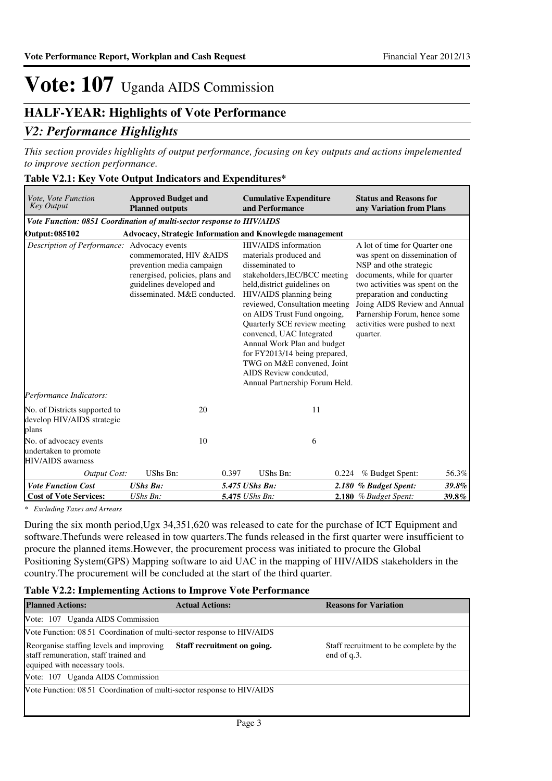## **HALF-YEAR: Highlights of Vote Performance**

## *V2: Performance Highlights*

*This section provides highlights of output performance, focusing on key outputs and actions impelemented to improve section performance.*

### **Table V2.1: Key Vote Output Indicators and Expenditures\***

| <i>Vote, Vote Function</i><br><b>Key Output</b>                             | <b>Approved Budget and</b><br><b>Planned outputs</b>                                                                                                 | and Performance          | <b>Cumulative Expenditure</b>                                                                                                                                                                                                                                                                                                                                                                                                                                                                                                | <b>Status and Reasons for</b><br>any Variation from Plans |                                                                                                                                                                                                                                                                                             |  |  |
|-----------------------------------------------------------------------------|------------------------------------------------------------------------------------------------------------------------------------------------------|--------------------------|------------------------------------------------------------------------------------------------------------------------------------------------------------------------------------------------------------------------------------------------------------------------------------------------------------------------------------------------------------------------------------------------------------------------------------------------------------------------------------------------------------------------------|-----------------------------------------------------------|---------------------------------------------------------------------------------------------------------------------------------------------------------------------------------------------------------------------------------------------------------------------------------------------|--|--|
| Vote Function: 0851 Coordination of multi-sector response to HIV/AIDS       |                                                                                                                                                      |                          |                                                                                                                                                                                                                                                                                                                                                                                                                                                                                                                              |                                                           |                                                                                                                                                                                                                                                                                             |  |  |
| <b>Output: 085102</b>                                                       |                                                                                                                                                      |                          |                                                                                                                                                                                                                                                                                                                                                                                                                                                                                                                              |                                                           |                                                                                                                                                                                                                                                                                             |  |  |
| Description of Performance: Advocacy events                                 | commemorated, HIV & AIDS<br>prevention media campaign<br>renergised, policies, plans and<br>guidelines developed and<br>disseminated. M&E conducted. |                          | Advocacy, Strategic Information and Knowlegde management<br>HIV/AIDS information<br>materials produced and<br>disseminated to<br>stakeholders, IEC/BCC meeting<br>held, district guidelines on<br>HIV/AIDS planning being<br>reviewed, Consultation meeting<br>on AIDS Trust Fund ongoing,<br>Quarterly SCE review meeting<br>convened, UAC Integrated<br>quarter.<br>Annual Work Plan and budget<br>for FY2013/14 being prepared,<br>TWG on M&E convened, Joint<br>AIDS Review condcuted,<br>Annual Partnership Forum Held. |                                                           | A lot of time for Quarter one<br>was spent on dissemination of<br>NSP and othe strategic<br>documents, while for quarter<br>two activities was spent on the<br>preparation and conducting<br>Joing AIDS Review and Annual<br>Parnership Forum, hence some<br>activities were pushed to next |  |  |
| Performance Indicators:                                                     |                                                                                                                                                      |                          |                                                                                                                                                                                                                                                                                                                                                                                                                                                                                                                              |                                                           |                                                                                                                                                                                                                                                                                             |  |  |
| No. of Districts supported to<br>develop HIV/AIDS strategic<br>plans        | 20                                                                                                                                                   |                          | 11                                                                                                                                                                                                                                                                                                                                                                                                                                                                                                                           |                                                           |                                                                                                                                                                                                                                                                                             |  |  |
| No. of advocacy events<br>undertaken to promote<br><b>HIV/AIDS</b> awarness | 10                                                                                                                                                   |                          | 6                                                                                                                                                                                                                                                                                                                                                                                                                                                                                                                            |                                                           |                                                                                                                                                                                                                                                                                             |  |  |
| <b>Output Cost:</b>                                                         | UShs Bn:                                                                                                                                             | 0.397<br><b>UShs Bn:</b> | 0.224                                                                                                                                                                                                                                                                                                                                                                                                                                                                                                                        | % Budget Spent:                                           | 56.3%                                                                                                                                                                                                                                                                                       |  |  |
| <b>Vote Function Cost</b>                                                   | <b>UShs Bn:</b>                                                                                                                                      | 5.475 UShs Bn:           |                                                                                                                                                                                                                                                                                                                                                                                                                                                                                                                              | 2.180 % Budget Spent:                                     | 39.8%                                                                                                                                                                                                                                                                                       |  |  |
| <b>Cost of Vote Services:</b>                                               | $UShs Bn$ :                                                                                                                                          | 5.475 UShs Bn:           |                                                                                                                                                                                                                                                                                                                                                                                                                                                                                                                              | 2.180 % Budget Spent:                                     | 39.8%                                                                                                                                                                                                                                                                                       |  |  |

*\* Excluding Taxes and Arrears*

During the six month period,Ugx 34,351,620 was released to cate for the purchase of ICT Equipment and software.Thefunds were released in tow quarters.The funds released in the first quarter were insufficient to procure the planned items.However, the procurement process was initiated to procure the Global Positioning System(GPS) Mapping software to aid UAC in the mapping of HIV/AIDS stakeholders in the country.The procurement will be concluded at the start of the third quarter.

### **Table V2.2: Implementing Actions to Improve Vote Performance**

| <b>Planned Actions:</b>                                                                                            | <b>Actual Actions:</b>      | <b>Reasons for Variation</b>                           |
|--------------------------------------------------------------------------------------------------------------------|-----------------------------|--------------------------------------------------------|
| Vote: 107 Uganda AIDS Commission                                                                                   |                             |                                                        |
| Vote Function: 08.51 Coordination of multi-sector response to HIV/AIDS                                             |                             |                                                        |
| Reorganise staffing levels and improving<br>staff remuneration, staff trained and<br>equiped with necessary tools. | Staff recruitment on going. | Staff recruitment to be complete by the<br>end of q.3. |
| Vote: 107 Uganda AIDS Commission                                                                                   |                             |                                                        |
| Vote Function: 08 51 Coordination of multi-sector response to HIV/AIDS                                             |                             |                                                        |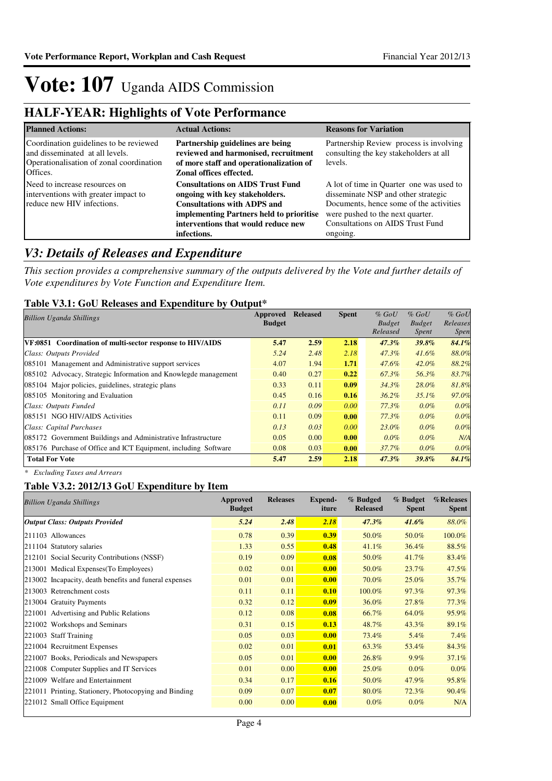## **HALF-YEAR: Highlights of Vote Performance**

| <b>Planned Actions:</b>                                                                                                           | <b>Actual Actions:</b>                                                                                                                                                                                            | <b>Reasons for Variation</b>                                                                                                                                                                                   |
|-----------------------------------------------------------------------------------------------------------------------------------|-------------------------------------------------------------------------------------------------------------------------------------------------------------------------------------------------------------------|----------------------------------------------------------------------------------------------------------------------------------------------------------------------------------------------------------------|
| Coordination guidelines to be reviewed<br>and disseminated at all levels.<br>Operationalisation of zonal coordination<br>Offices. | Partnership guidelines are being<br>reviewed and harmonised, recruitment<br>of more staff and operationalization of<br>Zonal offices effected.                                                                    | Partnership Review process is involving<br>consulting the key stakeholders at all<br>levels.                                                                                                                   |
| Need to increase resources on<br>interventions with greater impact to<br>reduce new HIV infections.                               | <b>Consultations on AIDS Trust Fund</b><br>ongoing with key stakeholders.<br><b>Consultations with ADPS and</b><br>implementing Partners held to prioritise<br>interventions that would reduce new<br>infections. | A lot of time in Quarter one was used to<br>disseminate NSP and other strategic<br>Documents, hence some of the activities<br>were pushed to the next quarter.<br>Consultations on AIDS Trust Fund<br>ongoing. |

## *V3: Details of Releases and Expenditure*

*This section provides a comprehensive summary of the outputs delivered by the Vote and further details of Vote expenditures by Vote Function and Expenditure Item.*

### **Table V3.1: GoU Releases and Expenditure by Output\***

| <b>Billion Uganda Shillings</b>                                 | Approved      | <b>Released</b> | <b>Spent</b> | $%$ GoU       | $%$ GoU       | $%$ GoU     |
|-----------------------------------------------------------------|---------------|-----------------|--------------|---------------|---------------|-------------|
|                                                                 | <b>Budget</b> |                 |              | <b>Budget</b> | <b>Budget</b> | Releases    |
|                                                                 |               |                 |              | Released      | Spent         | <i>Spen</i> |
| VF:0851 Coordination of multi-sector response to HIV/AIDS       | 5.47          | 2.59            | 2.18         | $47.3\%$      | 39.8%         | 84.1%       |
| Class: Outputs Provided                                         | 5.24          | 2.48            | 2.18         | $47.3\%$      | $41.6\%$      | 88.0%       |
| 085101 Management and Administrative support services           | 4.07          | 1.94            | 1.71         | 47.6%         | $42.0\%$      | 88.2%       |
| 085102 Advocacy, Strategic Information and Knowlegde management | 0.40          | 0.27            | 0.22         | 67.3%         | 56.3%         | 83.7%       |
| 085104 Major policies, guidelines, strategic plans              | 0.33          | 0.11            | 0.09         | $34.3\%$      | 28.0%         | 81.8%       |
| 085105 Monitoring and Evaluation                                | 0.45          | 0.16            | 0.16         | $36.2\%$      | $35.1\%$      | 97.0%       |
| Class: Outputs Funded                                           | 0.11          | 0.09            | 0.00         | $77.3\%$      | $0.0\%$       | 0.0%        |
| 085151 NGO HIV/AIDS Activities                                  | 0.11          | 0.09            | 0.00         | 77.3%         | $0.0\%$       | 0.0%        |
| Class: Capital Purchases                                        | 0.13          | 0.03            | 0.00         | 23.0%         | $0.0\%$       | 0.0%        |
| 085172 Government Buildings and Administrative Infrastructure   | 0.05          | 0.00            | 0.00         | $0.0\%$       | $0.0\%$       | N/A         |
| 085176 Purchase of Office and ICT Equipment, including Software | 0.08          | 0.03            | 0.00         | 37.7%         | $0.0\%$       | 0.0%        |
| <b>Total For Vote</b>                                           | 5.47          | 2.59            | 2.18         | 47.3%         | 39.8%         | 84.1%       |

*\* Excluding Taxes and Arrears*

### **Table V3.2: 2012/13 GoU Expenditure by Item**

| <b>Billion Uganda Shillings</b>                        | Approved<br><b>Budget</b> | <b>Releases</b> | Expend-<br>iture | % Budged<br><b>Released</b> | % Budget<br><b>Spent</b> | %Releases<br>Spent |
|--------------------------------------------------------|---------------------------|-----------------|------------------|-----------------------------|--------------------------|--------------------|
| <b>Output Class: Outputs Provided</b>                  | 5.24                      | 2.48            | 2.18             | 47.3%                       | $41.6\%$                 | 88.0%              |
| 211103 Allowances                                      | 0.78                      | 0.39            | 0.39             | 50.0%                       | 50.0%                    | 100.0%             |
| 211104 Statutory salaries                              | 1.33                      | 0.55            | 0.48             | 41.1%                       | 36.4%                    | 88.5%              |
| 212101 Social Security Contributions (NSSF)            | 0.19                      | 0.09            | 0.08             | 50.0%                       | 41.7%                    | 83.4%              |
| 213001 Medical Expenses (To Employees)                 | 0.02                      | 0.01            | 0.00             | 50.0%                       | 23.7%                    | 47.5%              |
| 213002 Incapacity, death benefits and funeral expenses | 0.01                      | 0.01            | 0.00             | 70.0%                       | 25.0%                    | 35.7%              |
| 213003 Retrenchment costs                              | 0.11                      | 0.11            | 0.10             | 100.0%                      | 97.3%                    | 97.3%              |
| 213004 Gratuity Payments                               | 0.32                      | 0.12            | 0.09             | 36.0%                       | 27.8%                    | 77.3%              |
| 221001 Advertising and Public Relations                | 0.12                      | 0.08            | 0.08             | 66.7%                       | 64.0%                    | 95.9%              |
| 221002 Workshops and Seminars                          | 0.31                      | 0.15            | 0.13             | 48.7%                       | 43.3%                    | 89.1%              |
| 221003 Staff Training                                  | 0.05                      | 0.03            | 0.00             | 73.4%                       | 5.4%                     | 7.4%               |
| 221004 Recruitment Expenses                            | 0.02                      | 0.01            | 0.01             | 63.3%                       | 53.4%                    | 84.3%              |
| 221007 Books, Periodicals and Newspapers               | 0.05                      | 0.01            | 0.00             | 26.8%                       | $9.9\%$                  | 37.1%              |
| 221008 Computer Supplies and IT Services               | 0.01                      | 0.00            | 0.00             | 25.0%                       | $0.0\%$                  | $0.0\%$            |
| 221009 Welfare and Entertainment                       | 0.34                      | 0.17            | 0.16             | 50.0%                       | 47.9%                    | 95.8%              |
| 221011 Printing, Stationery, Photocopying and Binding  | 0.09                      | 0.07            | 0.07             | 80.0%                       | 72.3%                    | 90.4%              |
| 221012 Small Office Equipment                          | 0.00                      | 0.00            | 0.00             | $0.0\%$                     | $0.0\%$                  | N/A                |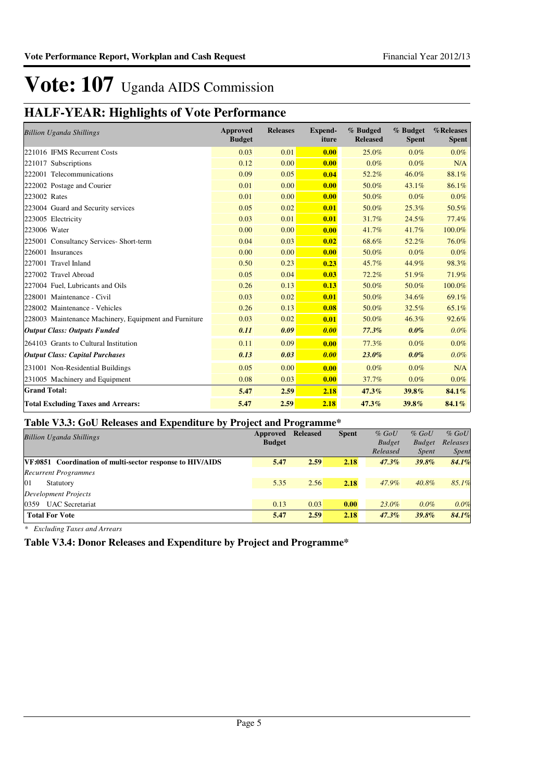## **HALF-YEAR: Highlights of Vote Performance**

| <b>Billion Uganda Shillings</b>                       | Approved<br><b>Budget</b> | <b>Releases</b> | Expend-<br>iture | % Budged<br><b>Released</b> | % Budget<br><b>Spent</b> | %Releases<br><b>Spent</b> |
|-------------------------------------------------------|---------------------------|-----------------|------------------|-----------------------------|--------------------------|---------------------------|
| 221016 IFMS Recurrent Costs                           | 0.03                      | 0.01            | 0.00             | 25.0%                       | $0.0\%$                  | $0.0\%$                   |
| 221017 Subscriptions                                  | 0.12                      | 0.00            | 0.00             | 0.0%                        | $0.0\%$                  | N/A                       |
| 222001 Telecommunications                             | 0.09                      | 0.05            | 0.04             | 52.2%                       | 46.0%                    | 88.1%                     |
| 222002 Postage and Courier                            | 0.01                      | 0.00            | 0.00             | 50.0%                       | 43.1%                    | 86.1%                     |
| 223002 Rates                                          | 0.01                      | 0.00            | 0.00             | 50.0%                       | 0.0%                     | $0.0\%$                   |
| 223004 Guard and Security services                    | 0.05                      | 0.02            | 0.01             | 50.0%                       | 25.3%                    | 50.5%                     |
| 223005 Electricity                                    | 0.03                      | 0.01            | 0.01             | 31.7%                       | 24.5%                    | 77.4%                     |
| 223006 Water                                          | 0.00                      | 0.00            | 0.00             | 41.7%                       | 41.7%                    | 100.0%                    |
| 225001 Consultancy Services- Short-term               | 0.04                      | 0.03            | 0.02             | 68.6%                       | 52.2%                    | 76.0%                     |
| 226001 Insurances                                     | 0.00                      | 0.00            | 0.00             | 50.0%                       | 0.0%                     | 0.0%                      |
| 227001 Travel Inland                                  | 0.50                      | 0.23            | 0.23             | 45.7%                       | 44.9%                    | 98.3%                     |
| 227002 Travel Abroad                                  | 0.05                      | 0.04            | 0.03             | 72.2%                       | 51.9%                    | 71.9%                     |
| 227004 Fuel, Lubricants and Oils                      | 0.26                      | 0.13            | 0.13             | 50.0%                       | 50.0%                    | 100.0%                    |
| 228001 Maintenance - Civil                            | 0.03                      | 0.02            | 0.01             | 50.0%                       | 34.6%                    | 69.1%                     |
| 228002 Maintenance - Vehicles                         | 0.26                      | 0.13            | 0.08             | 50.0%                       | 32.5%                    | 65.1%                     |
| 228003 Maintenance Machinery, Equipment and Furniture | 0.03                      | 0.02            | 0.01             | 50.0%                       | 46.3%                    | 92.6%                     |
| <b>Output Class: Outputs Funded</b>                   | 0.11                      | 0.09            | 0.00             | 77.3%                       | $0.0\%$                  | 0.0%                      |
| 264103 Grants to Cultural Institution                 | 0.11                      | 0.09            | 0.00             | 77.3%                       | $0.0\%$                  | 0.0%                      |
| <b>Output Class: Capital Purchases</b>                | 0.13                      | 0.03            | 0.00             | 23.0%                       | $0.0\%$                  | $0.0\%$                   |
| 231001 Non-Residential Buildings                      | 0.05                      | 0.00            | 0.00             | $0.0\%$                     | $0.0\%$                  | N/A                       |
| 231005 Machinery and Equipment                        | 0.08                      | 0.03            | 0.00             | 37.7%                       | $0.0\%$                  | 0.0%                      |
| <b>Grand Total:</b>                                   | 5.47                      | 2.59            | 2.18             | 47.3%                       | 39.8%                    | 84.1%                     |
| <b>Total Excluding Taxes and Arrears:</b>             | 5.47                      | 2.59            | 2.18             | 47.3%                       | 39.8%                    | 84.1%                     |

### **Table V3.3: GoU Releases and Expenditure by Project and Programme\***

| <b>Billion Uganda Shillings</b>                                  | Approved      | <b>Released</b> | <b>Spent</b> | $%$ GoU       | $%$ GoU       | $%$ GoU  |
|------------------------------------------------------------------|---------------|-----------------|--------------|---------------|---------------|----------|
|                                                                  | <b>Budget</b> |                 |              | <b>Budget</b> | <b>Budget</b> | Releases |
|                                                                  |               |                 |              | Released      | <i>Spent</i>  | Spent    |
| <b>VF:0851</b> Coordination of multi-sector response to HIV/AIDS | 5.47          | 2.59            | 2.18         | $47.3\%$      | 39.8%         | 84.1%    |
| <b>Recurrent Programmes</b>                                      |               |                 |              |               |               |          |
| 01<br>Statutory                                                  | 5.35          | 2.56            | 2.18         | 47.9%         | $40.8\%$      | 85.1%    |
| <b>Development Projects</b>                                      |               |                 |              |               |               |          |
| <b>UAC</b> Secretariat<br>0359                                   | 0.13          | 0.03            | 0.00         | 23.0%         | $0.0\%$       | 0.0%     |
| <b>Total For Vote</b>                                            | 5.47          | 2.59            | 2.18         | $47.3\%$      | 39.8%         | 84.1%    |
|                                                                  |               |                 |              |               |               |          |

*\* Excluding Taxes and Arrears*

**Table V3.4: Donor Releases and Expenditure by Project and Programme\***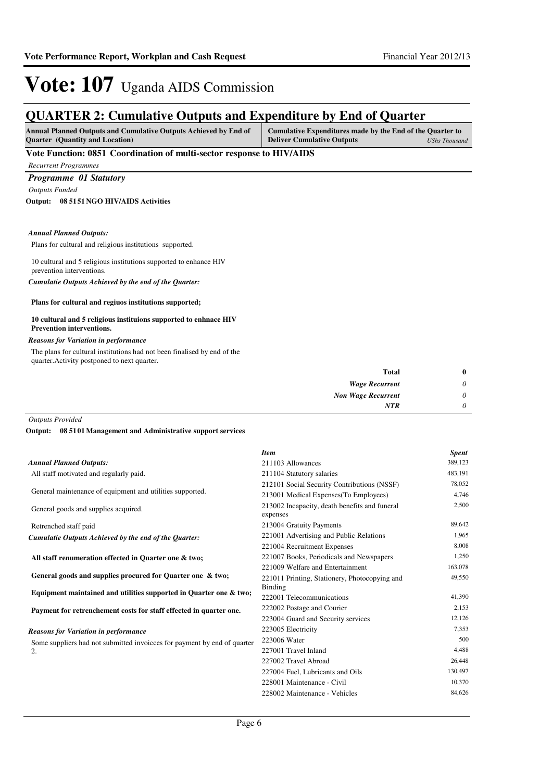## **QUARTER 2: Cumulative Outputs and Expenditure by End of Quarter**

| <b>Annual Planned Outputs and Cumulative Outputs Achieved by End of</b> | Cumulative Expenditures made by the End of the Quarter to |  |
|-------------------------------------------------------------------------|-----------------------------------------------------------|--|
| <b>Ouarter</b> (Quantity and Location)                                  | <b>Deliver Cumulative Outputs</b><br>UShs Thousand        |  |

### **Vote Function: 0851 Coordination of multi-sector response to HIV/AIDS**

*Recurrent Programmes*

### *Programme 01 Statutory*

*Outputs Funded*

**08 5151 NGO HIV/AIDS Activities Output:**

#### *Annual Planned Outputs:*

Plans for cultural and religious institutions supported.

10 cultural and 5 religious institutions supported to enhance HIV prevention interventions.

*Cumulatie Outputs Achieved by the end of the Quarter:*

#### **Plans for cultural and regiuos institutions supported;**

#### **10 cultural and 5 religious instituions supported to enhnace HIV Prevention interventions.**

#### *Reasons for Variation in performance*

The plans for cultural institutions had not been finalised by end of the

| $\bf{0}$ | <b>Total</b>              |
|----------|---------------------------|
| 0        | <b>Wage Recurrent</b>     |
| 0        | <b>Non Wage Recurrent</b> |
| 0        | <b>NTR</b>                |
|          |                           |

### *Outputs Provided*

**08 5101 Management and Administrative support services Output:**

|                                                                         | <b>Item</b>                                               | <b>Spent</b> |
|-------------------------------------------------------------------------|-----------------------------------------------------------|--------------|
| <b>Annual Planned Outputs:</b>                                          | 211103 Allowances                                         | 389,123      |
| All staff motivated and regularly paid.                                 | 211104 Statutory salaries                                 | 483,191      |
|                                                                         | 212101 Social Security Contributions (NSSF)               | 78,052       |
| General maintenance of equipment and utilities supported.               | 213001 Medical Expenses (To Employees)                    | 4,746        |
| General goods and supplies acquired.                                    | 213002 Incapacity, death benefits and funeral<br>expenses | 2,500        |
| Retrenched staff paid                                                   | 213004 Gratuity Payments                                  | 89,642       |
| Cumulatie Outputs Achieved by the end of the Quarter:                   | 221001 Advertising and Public Relations                   | 1,965        |
|                                                                         | 221004 Recruitment Expenses                               | 8,008        |
| All staff renumeration effected in Quarter one & two;                   | 221007 Books, Periodicals and Newspapers                  | 1,250        |
|                                                                         | 221009 Welfare and Entertainment                          | 163,078      |
| General goods and supplies procured for Quarter one & two;              | 221011 Printing, Stationery, Photocopying and             | 49,550       |
| Equipment maintained and utilities supported in Quarter one & two;      | Binding<br>222001 Telecommunications                      | 41,390       |
| Payment for retrenchement costs for staff effected in quarter one.      | 222002 Postage and Courier                                | 2,153        |
|                                                                         | 223004 Guard and Security services                        | 12,126       |
| <b>Reasons for Variation in performance</b>                             | 223005 Electricity                                        | 7,353        |
| Some suppliers had not submitted invoices for payment by end of quarter | 223006 Water                                              | 500          |
| 2.                                                                      | 227001 Travel Inland                                      | 4,488        |
|                                                                         | 227002 Travel Abroad                                      | 26,448       |
|                                                                         | 227004 Fuel, Lubricants and Oils                          | 130,497      |
|                                                                         | 228001 Maintenance - Civil                                | 10,370       |
|                                                                         | 228002 Maintenance - Vehicles                             | 84,626       |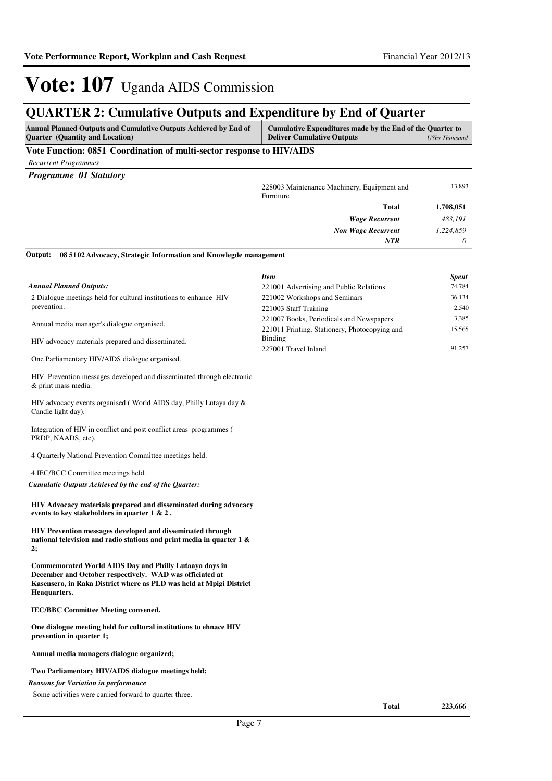### **QUARTER 2: Cumulative Outputs and Expenditure by End of Quarter**

| <b>Annual Planned Outputs and Cumulative Outputs Achieved by End of</b><br><b>Ouarter</b> (Quantity and Location) | Cumulative Expenditures made by the End of the Quarter to<br><b>Deliver Cumulative Outputs</b> | UShs Thousand |
|-------------------------------------------------------------------------------------------------------------------|------------------------------------------------------------------------------------------------|---------------|
| Vote Function: 0851 Coordination of multi-sector response to HIV/AIDS                                             |                                                                                                |               |

*Recurrent Programmes*

*Programme 01 Statutory*

|         | 228003 Maintenance Machinery, Equipment and<br>Furniture         | 13,893    |
|---------|------------------------------------------------------------------|-----------|
|         | <b>Total</b>                                                     | 1,708,051 |
|         | <b>Wage Recurrent</b>                                            | 483,191   |
|         | <b>Non Wage Recurrent</b>                                        | 1,224,859 |
|         | <b>NTR</b>                                                       | 0         |
| Output: | 08 5102 Advocacy, Strategic Information and Knowlegde management |           |

2 Dialogue meetings held for cultural institutions to enhance HIV prevention. Annual media manager's dialogue organised. HIV advocacy materials prepared and disseminated. One Parliamentary HIV/AIDS dialogue organised. *Annual Planned Outputs: Item Spent* 221001 Advertising and Public Relations 74,784 221002 Workshops and Seminars 36,134 221003 Staff Training 2,540 221007 Books, Periodicals and Newspapers 3,385 221011 Printing, Stationery, Photocopying and Binding 15,565 227001 Travel Inland 91,257

HIV Prevention messages developed and disseminated through electronic & print mass media.

HIV advocacy events organised ( World AIDS day, Philly Lutaya day & Candle light day).

Integration of HIV in conflict and post conflict areas' programmes ( PRDP, NAADS, etc).

4 Quarterly National Prevention Committee meetings held.

#### 4 IEC/BCC Committee meetings held.

*Cumulatie Outputs Achieved by the end of the Quarter:*

#### **HIV Advocacy materials prepared and disseminated during advocacy events to key stakeholders in quarter 1 & 2 .**

**HIV Prevention messages developed and disseminated through national television and radio stations and print media in quarter 1 & 2;**

**Commemorated World AIDS Day and Philly Lutaaya days in December and October respectively. WAD was officiated at Kasensero, in Raka District where as PLD was held at Mpigi District Heaquarters.**

**IEC/BBC Committee Meeting convened.**

**One dialogue meeting held for cultural institutions to ehnace HIV prevention in quarter 1;**

**Annual media managers dialogue organized;**

#### **Two Parliamentary HIV/AIDS dialogue meetings held;**

*Reasons for Variation in performance*

Some activities were carried forward to quarter three.

**Total 223,666**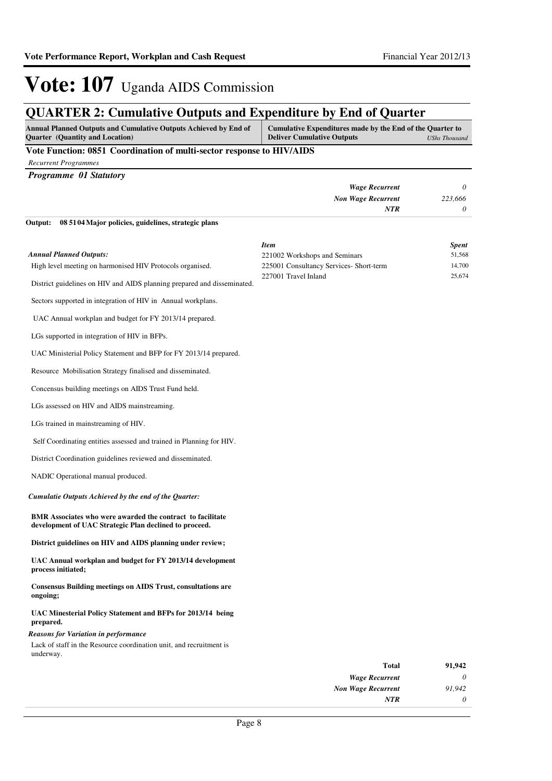### **QUARTER 2: Cumulative Outputs and Expenditure by End of Quarter**

| <b>Annual Planned Outputs and Cumulative Outputs Achieved by End of</b> | Cumulative Expenditures made by the End of the Quarter to |
|-------------------------------------------------------------------------|-----------------------------------------------------------|
| <b>Ouarter</b> (Quantity and Location)                                  | <b>Deliver Cumulative Outputs</b><br>UShs Thousand        |

#### **Vote Function: 0851 Coordination of multi-sector response to HIV/AIDS**

*Recurrent Programmes*

| <b>Programme 01 Statutory</b>                                   |                           |         |
|-----------------------------------------------------------------|---------------------------|---------|
|                                                                 | <b>Wage Recurrent</b>     | 0       |
|                                                                 | <b>Non Wage Recurrent</b> | 223,666 |
|                                                                 | NTR                       | 0       |
| Output:<br>08 51 04 Major policies, guidelines, strategic plans |                           |         |

High level meeting on harmonised HIV Protocols organised. District guidelines on HIV and AIDS planning prepared and disseminated. Sectors supported in integration of HIV in Annual workplans. UAC Annual workplan and budget for FY 2013/14 prepared. *Annual Planned Outputs: Item Spent* 221002 Workshops and Seminars 51,568 225001 Consultancy Services- Short-term 14,700 227001 Travel Inland 25,674

LGs supported in integration of HIV in BFPs.

UAC Ministerial Policy Statement and BFP for FY 2013/14 prepared.

Resource Mobilisation Strategy finalised and disseminated.

Concensus building meetings on AIDS Trust Fund held.

LGs assessed on HIV and AIDS mainstreaming.

LGs trained in mainstreaming of HIV.

Self Coordinating entities assessed and trained in Planning for HIV.

District Coordination guidelines reviewed and disseminated.

NADIC Operational manual produced.

*Cumulatie Outputs Achieved by the end of the Quarter:*

**BMR Associates who were awarded the contract to facilitate development of UAC Strategic Plan declined to proceed.**

**District guidelines on HIV and AIDS planning under review;**

**UAC Annual workplan and budget for FY 2013/14 development process initiated;**

**Consensus Building meetings on AIDS Trust, consultations are ongoing;**

**UAC Minesterial Policy Statement and BFPs for 2013/14 being prepared.**

*Reasons for Variation in performance*

Lack of staff in the Resource coordination unit, and recruitment is underway.

| 91,942 | Total                     |
|--------|---------------------------|
| 0      | <b>Wage Recurrent</b>     |
| 91.942 | <b>Non Wage Recurrent</b> |
| O      | NTR                       |
|        |                           |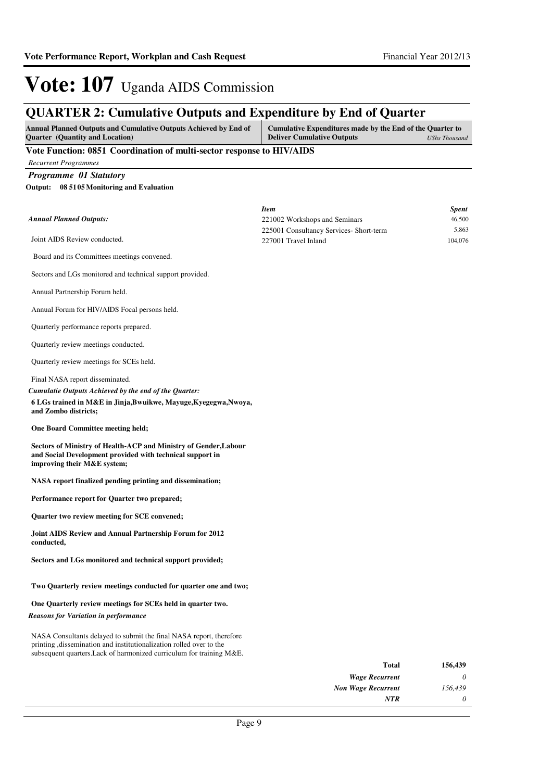## **QUARTER 2: Cumulative Outputs and Expenditure by End of Quarter**

| <b>Annual Planned Outputs and Cumulative Outputs Achieved by End of</b> | Cumulative Expenditures made by the End of the Quarter to |
|-------------------------------------------------------------------------|-----------------------------------------------------------|
| <b>Ouarter</b> (Quantity and Location)                                  | <b>Deliver Cumulative Outputs</b><br>UShs Thousand        |
| $\mathbf{v}$ , $\mathbf{v}$<br>$00 - 10$                                | <b>TTTT:</b> LED O                                        |

#### **Vote Function: 0851 Coordination of multi-sector response to HIV/AIDS**

*Recurrent Programmes*

*Programme 01 Statutory*

**08 5105 Monitoring and Evaluation Output:**

| <b>Annual Planned Outputs:</b>                                                                                                                                                                                      | <b>Item</b><br>221002 Workshops and Seminars | <b>Spent</b><br>46,500 |
|---------------------------------------------------------------------------------------------------------------------------------------------------------------------------------------------------------------------|----------------------------------------------|------------------------|
|                                                                                                                                                                                                                     | 225001 Consultancy Services- Short-term      | 5,863                  |
| Joint AIDS Review conducted.                                                                                                                                                                                        | 227001 Travel Inland                         | 104,076                |
| Board and its Committees meetings convened.                                                                                                                                                                         |                                              |                        |
| Sectors and LGs monitored and technical support provided.                                                                                                                                                           |                                              |                        |
| Annual Partnership Forum held.                                                                                                                                                                                      |                                              |                        |
| Annual Forum for HIV/AIDS Focal persons held.                                                                                                                                                                       |                                              |                        |
| Quarterly performance reports prepared.                                                                                                                                                                             |                                              |                        |
| Quarterly review meetings conducted.                                                                                                                                                                                |                                              |                        |
| Quarterly review meetings for SCEs held.                                                                                                                                                                            |                                              |                        |
| Final NASA report disseminated.<br>Cumulatie Outputs Achieved by the end of the Quarter:<br>6 LGs trained in M&E in Jinja, Bwuikwe, Mayuge, Kyegegwa, Nwoya,<br>and Zombo districts;                                |                                              |                        |
| <b>One Board Committee meeting held;</b>                                                                                                                                                                            |                                              |                        |
| Sectors of Ministry of Health-ACP and Ministry of Gender, Labour<br>and Social Development provided with technical support in<br>improving their M&E system;                                                        |                                              |                        |
| NASA report finalized pending printing and dissemination;                                                                                                                                                           |                                              |                        |
| Performance report for Quarter two prepared;                                                                                                                                                                        |                                              |                        |
| Quarter two review meeting for SCE convened;                                                                                                                                                                        |                                              |                        |
| Joint AIDS Review and Annual Partnership Forum for 2012<br>conducted,                                                                                                                                               |                                              |                        |
| Sectors and LGs monitored and technical support provided;                                                                                                                                                           |                                              |                        |
| Two Quarterly review meetings conducted for quarter one and two;                                                                                                                                                    |                                              |                        |
| One Quarterly review meetings for SCEs held in quarter two.                                                                                                                                                         |                                              |                        |
| <b>Reasons for Variation in performance</b>                                                                                                                                                                         |                                              |                        |
| NASA Consultants delayed to submit the final NASA report, therefore<br>printing , dissemination and institutionalization rolled over to the<br>subsequent quarters. Lack of harmonized curriculum for training M&E. |                                              |                        |
|                                                                                                                                                                                                                     | <b>Total</b>                                 | 156,439                |
|                                                                                                                                                                                                                     | <b>Wage Recurrent</b>                        | 0                      |
|                                                                                                                                                                                                                     | <b>Non Wage Recurrent</b>                    | 156,439                |
|                                                                                                                                                                                                                     | NTR                                          | 0                      |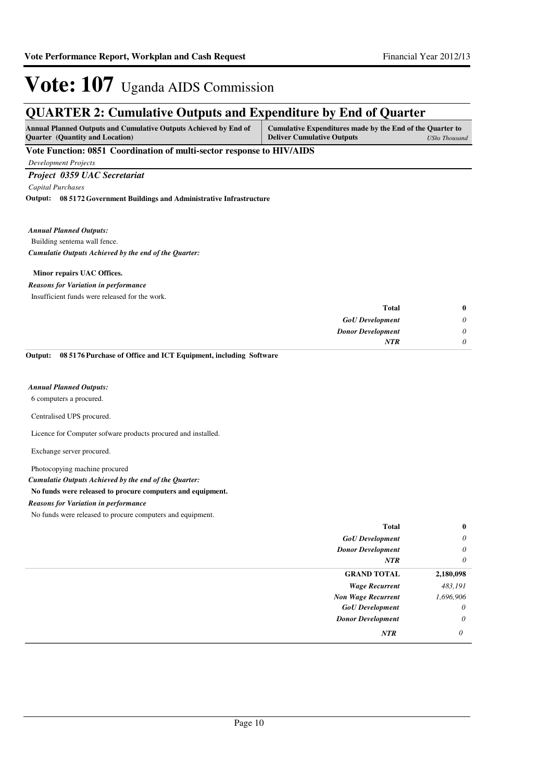## **QUARTER 2: Cumulative Outputs and Expenditure by End of Quarter**

| <b>Annual Planned Outputs and Cumulative Outputs Achieved by End of</b> | Cumulative Expenditures made by the End of the Quarter to |               |
|-------------------------------------------------------------------------|-----------------------------------------------------------|---------------|
| <b>Ouarter</b> (Quantity and Location)                                  | <b>Deliver Cumulative Outputs</b>                         | UShs Thousand |

### **Vote Function: 0851 Coordination of multi-sector response to HIV/AIDS**

*Development Projects*

### *Project 0359 UAC Secretariat*

*Capital Purchases*

**08 5172 Government Buildings and Administrative Infrastructure Output:**

#### *Annual Planned Outputs:*

Building sentema wall fence. *Cumulatie Outputs Achieved by the end of the Quarter:*

#### **Minor repairs UAC Offices.**

#### *Reasons for Variation in performance*

Insufficient funds were released for the work.

| <b>Total</b>             |
|--------------------------|
| <b>GoU</b> Development   |
| <b>Donor Development</b> |
| <b>NTR</b>               |
|                          |

**08 5176 Purchase of Office and ICT Equipment, including Software Output:**

#### *Annual Planned Outputs:*

6 computers a procured.

#### Centralised UPS procured.

Licence for Computer sofware products procured and installed.

Exchange server procured.

#### Photocopying machine procured

*Cumulatie Outputs Achieved by the end of the Quarter:*

#### **No funds were released to procure computers and equipment.**

#### *Reasons for Variation in performance*

No funds were released to procure computers and equipment.

| <b>Total</b>              | $\bf{0}$  |
|---------------------------|-----------|
| <b>GoU</b> Development    | $\theta$  |
| <b>Donor Development</b>  | $\theta$  |
| NTR                       | $\theta$  |
| <b>GRAND TOTAL</b>        | 2,180,098 |
| <b>Wage Recurrent</b>     | 483,191   |
| <b>Non Wage Recurrent</b> | 1,696,906 |
| <b>GoU</b> Development    | $\theta$  |
| <b>Donor Development</b>  | 0         |
| NTR                       | 0         |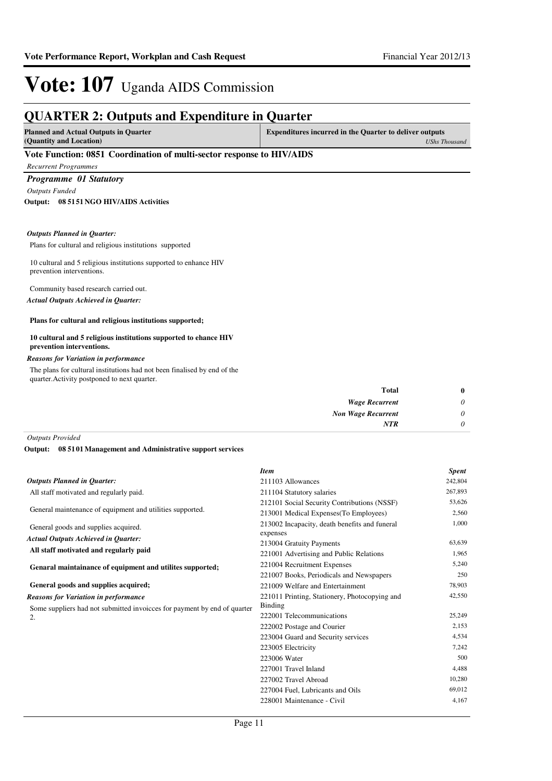## **QUARTER 2: Outputs and Expenditure in Quarter**

| <b>Planned and Actual Outputs in Quarter</b><br>(Quantity and Location) | <b>Expenditures incurred in the Quarter to deliver outputs</b><br>UShs Thousand |
|-------------------------------------------------------------------------|---------------------------------------------------------------------------------|
| Vote Function: 0851 Coordination of multi-sector response to HIV/AIDS   |                                                                                 |
| <b>Recurrent Programmes</b>                                             |                                                                                 |
| <b>Programme 01 Statutory</b>                                           |                                                                                 |

*Outputs Funded*

**08 5151 NGO HIV/AIDS Activities Output:**

#### *Outputs Planned in Quarter:*

Plans for cultural and religious institutions supported

10 cultural and 5 religious institutions supported to enhance HIV prevention interventions.

Community based research carried out. *Actual Outputs Achieved in Quarter:*

#### **Plans for cultural and religious institutions supported;**

#### **10 cultural and 5 religious institutions supported to ehance HIV prevention interventions.**

#### *Reasons for Variation in performance*

The plans for cultural institutions had not been finalised by end of the quarter.Activity postponed to next quarter.

| $\bf{0}$ | Total                     |
|----------|---------------------------|
| $\theta$ | <b>Wage Recurrent</b>     |
| $\theta$ | <b>Non Wage Recurrent</b> |
| $\theta$ | <b>NTR</b>                |
|          |                           |

*Outputs Provided*

**08 5101 Management and Administrative support services Output:**

|                                                                               | <b>Item</b>                                               | <b>Spent</b> |
|-------------------------------------------------------------------------------|-----------------------------------------------------------|--------------|
| <b>Outputs Planned in Quarter:</b>                                            | 211103 Allowances                                         | 242,804      |
| All staff motivated and regularly paid.                                       | 211104 Statutory salaries                                 | 267,893      |
|                                                                               | 212101 Social Security Contributions (NSSF)               | 53,626       |
| General maintenance of equipment and utilities supported.                     | 213001 Medical Expenses (To Employees)                    | 2,560        |
| General goods and supplies acquired.                                          | 213002 Incapacity, death benefits and funeral<br>expenses | 1,000        |
| <b>Actual Outputs Achieved in Quarter:</b>                                    | 213004 Gratuity Payments                                  | 63,639       |
| All staff motivated and regularly paid                                        | 221001 Advertising and Public Relations                   | 1,965        |
| Genaral maintainance of equipment and utilites supported;                     | 221004 Recruitment Expenses                               | 5,240        |
|                                                                               | 221007 Books, Periodicals and Newspapers                  | 250          |
| General goods and supplies acquired;                                          | 221009 Welfare and Entertainment                          | 78,903       |
| <b>Reasons for Variation in performance</b>                                   | 221011 Printing, Stationery, Photocopying and             | 42,550       |
| Some suppliers had not submitted invoices for payment by end of quarter<br>2. | Binding                                                   |              |
|                                                                               | 222001 Telecommunications                                 | 25,249       |
|                                                                               | 222002 Postage and Courier                                | 2,153        |
|                                                                               | 223004 Guard and Security services                        | 4,534        |
|                                                                               | 223005 Electricity                                        | 7,242        |
|                                                                               | 223006 Water                                              | 500          |
|                                                                               | 227001 Travel Inland                                      | 4,488        |
|                                                                               | 227002 Travel Abroad                                      | 10,280       |
|                                                                               | 227004 Fuel, Lubricants and Oils                          | 69,012       |
|                                                                               | 228001 Maintenance - Civil                                | 4,167        |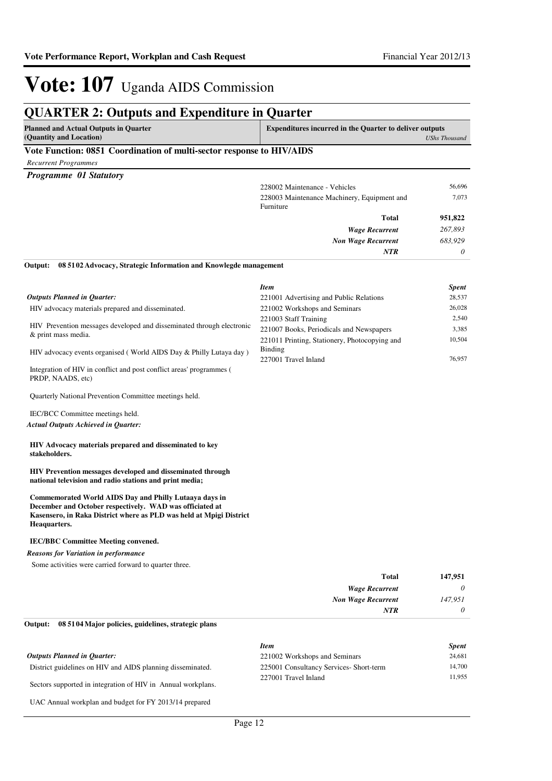## **QUARTER 2: Outputs and Expenditure in Quarter**

| Planned and Actual Outputs in Quarter                     | <b>Expenditures incurred in the Quarter to deliver outputs</b> |  |
|-----------------------------------------------------------|----------------------------------------------------------------|--|
| (Quantity and Location)                                   | UShs Thousand                                                  |  |
| $\mathbf{V}$ . $\mathbf{L}$ . $\mathbf{E}$ . $\mathbf{A}$ |                                                                |  |

#### **Vote Function: 0851 Coordination of multi-sector response to HIV/AIDS**

*Recurrent Programmes*

| <b>Programme 01 Statutory</b> |  |  |
|-------------------------------|--|--|
|-------------------------------|--|--|

|   |   | <b>NTR</b>                                  | $\theta$ |
|---|---|---------------------------------------------|----------|
|   |   | <b>Non Wage Recurrent</b>                   | 683,929  |
|   |   | <b>Wage Recurrent</b>                       | 267,893  |
|   |   | Total                                       | 951,822  |
|   |   | Furniture                                   |          |
|   |   | 228003 Maintenance Machinery, Equipment and | 7,073    |
|   |   | 228002 Maintenance - Vehicles               | 56,696   |
| ີ | - |                                             |          |

#### **08 5102 Advocacy, Strategic Information and Knowlegde management Output:**

|                                                                                                                                                                    | <b>Item</b>                                   | <b>Spent</b> |
|--------------------------------------------------------------------------------------------------------------------------------------------------------------------|-----------------------------------------------|--------------|
| <b>Outputs Planned in Ouarter:</b>                                                                                                                                 | 221001 Advertising and Public Relations       | 28,537       |
| HIV advocacy materials prepared and disseminated.                                                                                                                  | 221002 Workshops and Seminars                 | 26,028       |
| HIV Prevention messages developed and disseminated through electronic<br>& print mass media.<br>HIV advocacy events organised (World AIDS Day & Philly Lutava day) | 221003 Staff Training                         | 2.540        |
|                                                                                                                                                                    | 221007 Books, Periodicals and Newspapers      | 3,385        |
|                                                                                                                                                                    | 221011 Printing, Stationery, Photocopying and | 10.504       |
|                                                                                                                                                                    | Binding                                       |              |
|                                                                                                                                                                    | 227001 Travel Inland                          | 76,957       |
|                                                                                                                                                                    |                                               |              |

Integration of HIV in conflict and post conflict areas' programmes ( PRDP, NAADS, etc)

Quarterly National Prevention Committee meetings held.

IEC/BCC Committee meetings held.

*Actual Outputs Achieved in Quarter:*

#### **HIV Advocacy materials prepared and disseminated to key stakeholders.**

**HIV Prevention messages developed and disseminated through national television and radio stations and print media;**

**Commemorated World AIDS Day and Philly Lutaaya days in December and October respectively. WAD was officiated at Kasensero, in Raka District where as PLD was held at Mpigi District Heaquarters.**

#### **IEC/BBC Committee Meeting convened.**

#### *Reasons for Variation in performance*

Some activities were carried forward to quarter three.

| 147,951         | <b>Total</b>              |
|-----------------|---------------------------|
| 0               | <b>Wage Recurrent</b>     |
| 147,951         | <b>Non Wage Recurrent</b> |
| $\theta$<br>NTR |                           |

#### **08 5104 Major policies, guidelines, strategic plans Output:**

|                                                              | <b>Item</b>                            | <b>Spent</b> |
|--------------------------------------------------------------|----------------------------------------|--------------|
| <b>Outputs Planned in Ouarter:</b>                           | 221002 Workshops and Seminars          | 24,681       |
| District guidelines on HIV and AIDS planning disseminated.   | 225001 Consultancy Services-Short-term | 14,700       |
| Sectors supported in integration of HIV in Annual workplans. | 227001 Travel Inland                   | 11.955       |

UAC Annual workplan and budget for FY 2013/14 prepared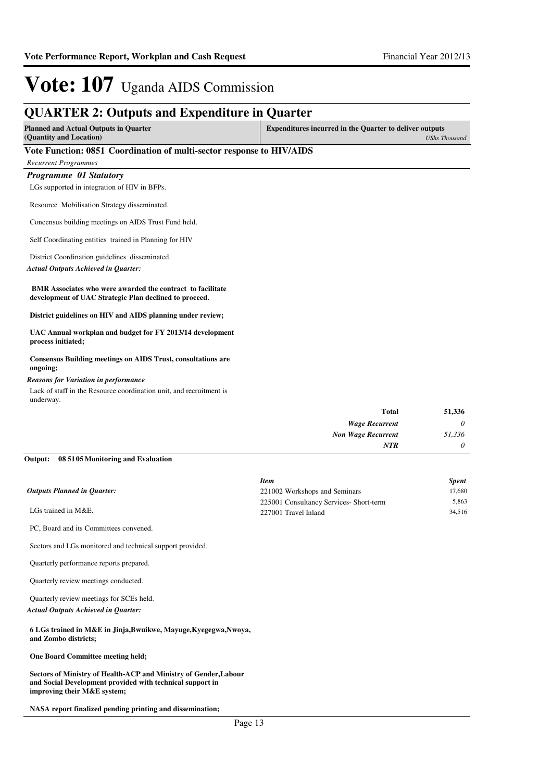## **QUARTER 2: Outputs and Expenditure in Quarter**

| <b>Planned and Actual Outputs in Ouarter</b> | <b>Expenditures incurred in the Quarter to deliver outputs</b> |
|----------------------------------------------|----------------------------------------------------------------|
| (Quantity and Location)                      | UShs Thousand                                                  |

#### **Vote Function: 0851 Coordination of multi-sector response to HIV/AIDS**

*Recurrent Programmes*

*Programme 01 Statutory*

LGs supported in integration of HIV in BFPs.

Resource Mobilisation Strategy disseminated.

Concensus building meetings on AIDS Trust Fund held.

Self Coordinating entities trained in Planning for HIV

District Coordination guidelines disseminated.

*Actual Outputs Achieved in Quarter:*

 **BMR Associates who were awarded the contract to facilitate development of UAC Strategic Plan declined to proceed.**

**District guidelines on HIV and AIDS planning under review;**

**UAC Annual workplan and budget for FY 2013/14 development process initiated;**

**Consensus Building meetings on AIDS Trust, consultations are ongoing;**

#### *Reasons for Variation in performance*

Lack of staff in the Resource coordination unit, and recruitment is underway.

| 51,336 |
|--------|
| 0      |
| 51,336 |
| 0      |
|        |

#### **08 5105 Monitoring and Evaluation Output:**

|                                        | <b>Item</b>                             | <b>Spent</b> |
|----------------------------------------|-----------------------------------------|--------------|
| <b>Outputs Planned in Ouarter:</b>     | 221002 Workshops and Seminars           | 17,680       |
| LGs trained in M&E.                    | 225001 Consultancy Services- Short-term | 5.863        |
|                                        | 227001 Travel Inland                    | 34.516       |
| PC, Board and its Committees convened. |                                         |              |

Sectors and LGs monitored and technical support provided.

Quarterly performance reports prepared.

Quarterly review meetings conducted.

Quarterly review meetings for SCEs held.

*Actual Outputs Achieved in Quarter:*

**6 LGs trained in M&E in Jinja,Bwuikwe, Mayuge,Kyegegwa,Nwoya, and Zombo districts;**

**One Board Committee meeting held;**

**Sectors of Ministry of Health-ACP and Ministry of Gender,Labour and Social Development provided with technical support in improving their M&E system;**

**NASA report finalized pending printing and dissemination;**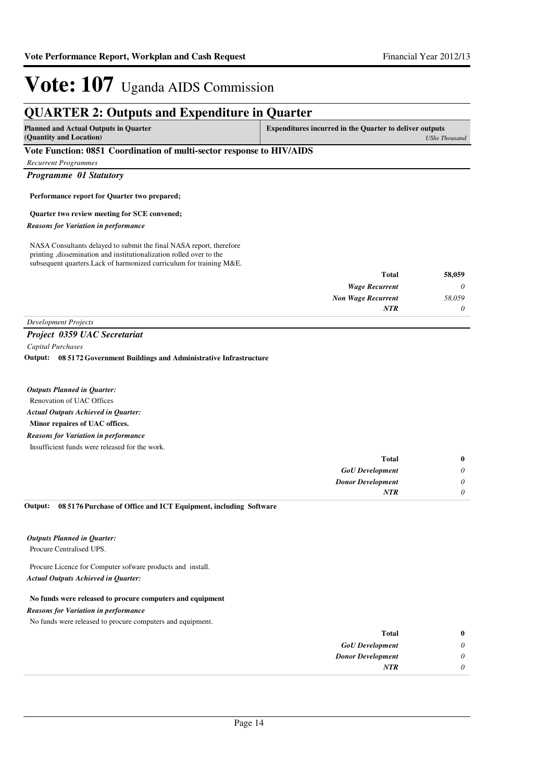## **QUARTER 2: Outputs and Expenditure in Quarter**

| Planned and Actual Outputs in Quarter | <b>Expenditures incurred in the Quarter to deliver outputs</b> |
|---------------------------------------|----------------------------------------------------------------|
| (Quantity and Location)               | UShs Thousand                                                  |
| ___<br>-------                        |                                                                |

#### **Vote Function: 0851 Coordination of multi-sector response to HIV/AIDS**

*Recurrent Programmes*

*Programme 01 Statutory*

#### **Performance report for Quarter two prepared;**

#### **Quarter two review meeting for SCE convened;**

*Reasons for Variation in performance*

NASA Consultants delayed to submit the final NASA report, therefore printing ,dissemination and institutionalization rolled over to the subsequent quarters.Lack of harmonized curriculum for training M&E.

| 58,059 | Total                     |
|--------|---------------------------|
| 0      | <b>Wage Recurrent</b>     |
| 58,059 | <b>Non Wage Recurrent</b> |
| 0      | <b>NTR</b>                |
|        |                           |

### *Development Projects*

*Project 0359 UAC Secretariat*

*Capital Purchases*

**08 5172 Government Buildings and Administrative Infrastructure Output:**

Renovation of UAC Offices **Minor repaires of UAC offices.** *Actual Outputs Achieved in Quarter: Outputs Planned in Quarter:* Insufficient funds were released for the work. *Reasons for Variation in performance*

| $\mathbf{0}$ | <b>Total</b>             |
|--------------|--------------------------|
| 0            | <b>GoU</b> Development   |
| 0            | <b>Donor Development</b> |
|              | <b>NTR</b>               |

#### **08 5176 Purchase of Office and ICT Equipment, including Software Output:**

*Outputs Planned in Quarter:*

Procure Centralised UPS.

Procure Licence for Computer sofware products and install. *Actual Outputs Achieved in Quarter:*

#### **No funds were released to procure computers and equipment**

*Reasons for Variation in performance*

No funds were released to procure computers and equipment.

| $\bf{0}$ | <b>Total</b>             |
|----------|--------------------------|
| 0        | <b>GoU</b> Development   |
| 0        | <b>Donor Development</b> |
| 0        | <b>NTR</b>               |
|          |                          |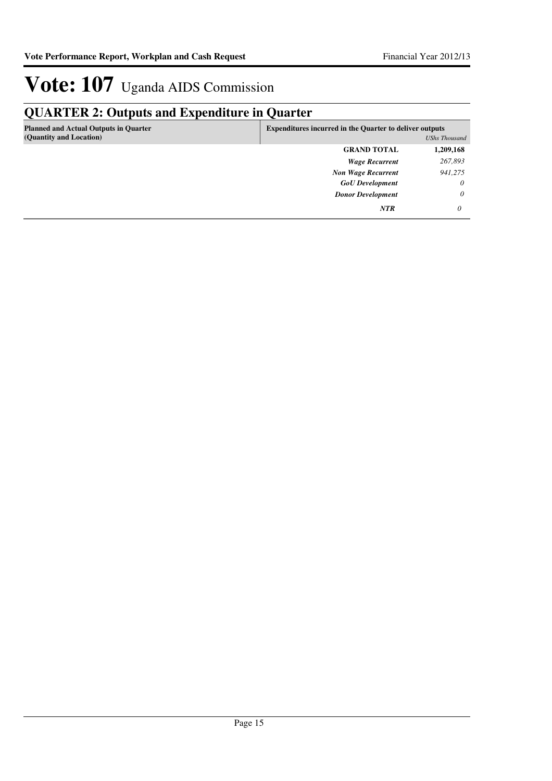## **QUARTER 2: Outputs and Expenditure in Quarter**

| <b>Planned and Actual Outputs in Quarter</b><br>(Quantity and Location) | <b>Expenditures incurred in the Quarter to deliver outputs</b> | UShs Thousand |
|-------------------------------------------------------------------------|----------------------------------------------------------------|---------------|
|                                                                         | <b>GRAND TOTAL</b>                                             | 1,209,168     |
|                                                                         | <b>Wage Recurrent</b>                                          | 267,893       |
|                                                                         | <b>Non Wage Recurrent</b>                                      | 941,275       |
|                                                                         | <b>GoU</b> Development                                         | $\theta$      |
|                                                                         | <b>Donor Development</b>                                       | $\theta$      |
|                                                                         | <b>NTR</b>                                                     | 0             |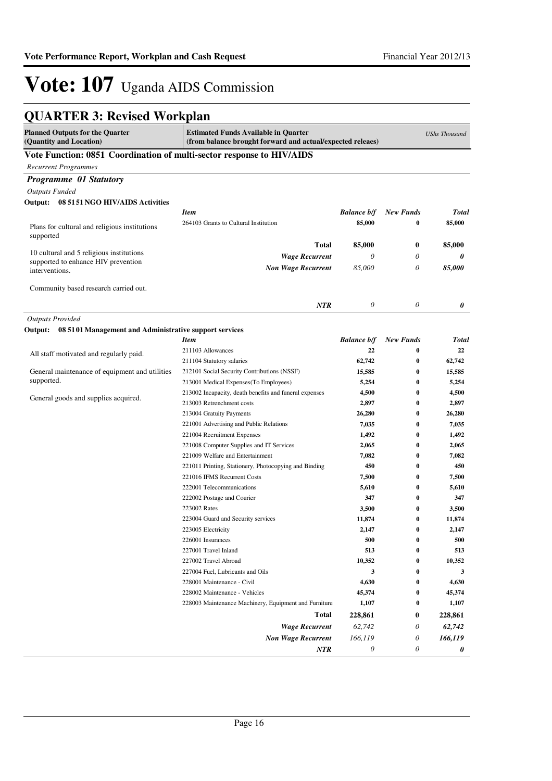## **QUARTER 3: Revised Workplan**

| <b>Planned Outputs for the Quarter</b><br><b>Estimated Funds Available in Quarter</b><br>(Quantity and Location)<br>(from balance brought forward and actual/expected releaes) |                                                                        |                    | <b>UShs Thousand</b> |                |
|--------------------------------------------------------------------------------------------------------------------------------------------------------------------------------|------------------------------------------------------------------------|--------------------|----------------------|----------------|
| Vote Function: 0851 Coordination of multi-sector response to HIV/AIDS                                                                                                          |                                                                        |                    |                      |                |
| <b>Recurrent Programmes</b>                                                                                                                                                    |                                                                        |                    |                      |                |
| <b>Programme 01 Statutory</b>                                                                                                                                                  |                                                                        |                    |                      |                |
| <b>Outputs Funded</b>                                                                                                                                                          |                                                                        |                    |                      |                |
| Output:<br>08 51 51 NGO HIV/AIDS Activities                                                                                                                                    |                                                                        |                    |                      |                |
|                                                                                                                                                                                | <b>Item</b>                                                            | <b>Balance b/f</b> | <b>New Funds</b>     | <b>Total</b>   |
| Plans for cultural and religious institutions                                                                                                                                  | 264103 Grants to Cultural Institution                                  | 85,000             | 0                    | 85,000         |
| supported                                                                                                                                                                      |                                                                        |                    |                      |                |
|                                                                                                                                                                                | Total                                                                  | 85,000             | $\bf{0}$             | 85,000         |
| 10 cultural and 5 religious institutions                                                                                                                                       | <b>Wage Recurrent</b>                                                  | $\theta$           | 0                    | 0              |
| supported to enhance HIV prevention<br>interventions.                                                                                                                          | <b>Non Wage Recurrent</b>                                              | 85,000             | 0                    | 85,000         |
|                                                                                                                                                                                |                                                                        |                    |                      |                |
| Community based research carried out.                                                                                                                                          |                                                                        |                    |                      |                |
|                                                                                                                                                                                |                                                                        |                    |                      |                |
|                                                                                                                                                                                | NTR                                                                    | 0                  | 0                    | 0              |
| <b>Outputs Provided</b>                                                                                                                                                        |                                                                        |                    |                      |                |
| Output: 08 5101 Management and Administrative support services                                                                                                                 |                                                                        |                    |                      |                |
|                                                                                                                                                                                | <b>Item</b>                                                            | <b>Balance b/f</b> | <b>New Funds</b>     | <b>Total</b>   |
| All staff motivated and regularly paid.                                                                                                                                        | 211103 Allowances                                                      | 22                 | 0                    | 22             |
|                                                                                                                                                                                | 211104 Statutory salaries                                              | 62,742             | 0                    | 62,742         |
| General maintenance of equipment and utilities                                                                                                                                 | 212101 Social Security Contributions (NSSF)                            | 15,585             | $\bf{0}$             | 15,585         |
| supported.                                                                                                                                                                     | 213001 Medical Expenses(To Employees)                                  | 5,254              | 0                    | 5,254          |
| General goods and supplies acquired.                                                                                                                                           | 213002 Incapacity, death benefits and funeral expenses                 | 4,500              | 0                    | 4,500          |
|                                                                                                                                                                                | 213003 Retrenchment costs                                              | 2,897              | 0                    | 2,897          |
|                                                                                                                                                                                | 213004 Gratuity Payments                                               | 26,280             | 0                    | 26,280         |
|                                                                                                                                                                                | 221001 Advertising and Public Relations<br>221004 Recruitment Expenses | 7,035              | $\bf{0}$<br>$\bf{0}$ | 7,035          |
|                                                                                                                                                                                | 221008 Computer Supplies and IT Services                               | 1,492<br>2,065     | 0                    | 1,492<br>2,065 |
|                                                                                                                                                                                | 221009 Welfare and Entertainment                                       | 7,082              | 0                    | 7,082          |
|                                                                                                                                                                                | 221011 Printing, Stationery, Photocopying and Binding                  | 450                | $\bf{0}$             | 450            |
|                                                                                                                                                                                | 221016 IFMS Recurrent Costs                                            | 7,500              | $\bf{0}$             | 7,500          |
|                                                                                                                                                                                | 222001 Telecommunications                                              | 5,610              | 0                    | 5,610          |
|                                                                                                                                                                                | 222002 Postage and Courier                                             | 347                | 0                    | 347            |
|                                                                                                                                                                                | 223002 Rates                                                           | 3,500              | 0                    | 3,500          |
|                                                                                                                                                                                | 223004 Guard and Security services                                     | 11,874             | $\bf{0}$             | 11,874         |
|                                                                                                                                                                                | 223005 Electricity                                                     | 2,147              | $\bf{0}$             | 2,147          |
|                                                                                                                                                                                | 226001 Insurances                                                      | 500                | 0                    | 500            |
|                                                                                                                                                                                | 227001 Travel Inland                                                   | 513                | $\bf{0}$             | 513            |
|                                                                                                                                                                                | 227002 Travel Abroad                                                   | 10,352             | 0                    | 10,352         |
|                                                                                                                                                                                | 227004 Fuel, Lubricants and Oils                                       | 3                  | 0                    | 3              |
|                                                                                                                                                                                | 228001 Maintenance - Civil                                             | 4,630              | 0                    | 4,630          |
|                                                                                                                                                                                | 228002 Maintenance - Vehicles                                          | 45,374             | 0                    | 45,374         |
|                                                                                                                                                                                | 228003 Maintenance Machinery, Equipment and Furniture                  | 1,107              | 0                    | 1,107          |
|                                                                                                                                                                                | Total                                                                  | 228,861            | 0                    | 228,861        |
|                                                                                                                                                                                | <b>Wage Recurrent</b>                                                  | 62,742             | 0                    | 62,742         |
|                                                                                                                                                                                | <b>Non Wage Recurrent</b>                                              | 166,119            | $\theta$             | 166,119        |
|                                                                                                                                                                                | NTR                                                                    | $\theta$           | 0                    | 0              |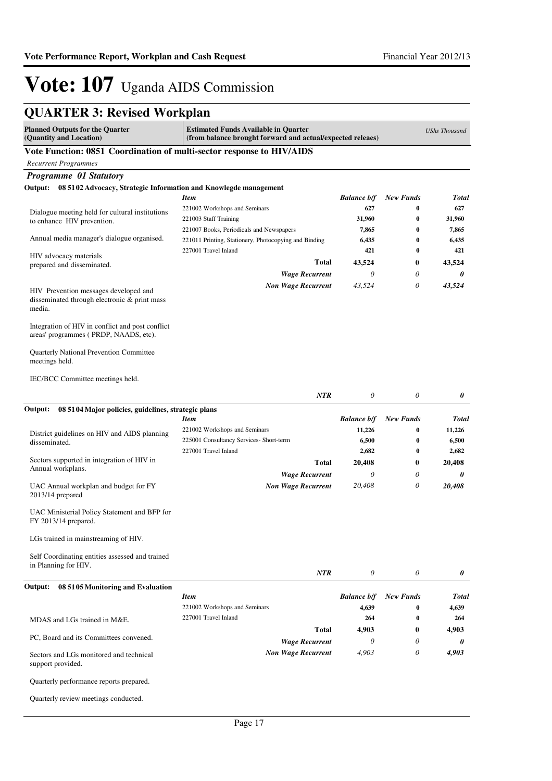# **QUARTER 3: Revised Workplan**

| <b>Planned Outputs for the Quarter</b><br>(Quantity and Location)                               | <b>Estimated Funds Available in Quarter</b><br>(from balance brought forward and actual/expected releaes) |                    |                  | <b>UShs Thousand</b> |
|-------------------------------------------------------------------------------------------------|-----------------------------------------------------------------------------------------------------------|--------------------|------------------|----------------------|
| Vote Function: 0851 Coordination of multi-sector response to HIV/AIDS                           |                                                                                                           |                    |                  |                      |
| <b>Recurrent Programmes</b>                                                                     |                                                                                                           |                    |                  |                      |
| Programme 01 Statutory                                                                          |                                                                                                           |                    |                  |                      |
| 08 5102 Advocacy, Strategic Information and Knowlegde management<br>Output:                     |                                                                                                           |                    |                  |                      |
|                                                                                                 | <b>Item</b>                                                                                               | <b>Balance b/f</b> | <b>New Funds</b> | <b>Total</b>         |
| Dialogue meeting held for cultural institutions                                                 | 221002 Workshops and Seminars                                                                             | 627                | 0                | 627                  |
| to enhance HIV prevention.                                                                      | 221003 Staff Training                                                                                     | 31,960             | $\bf{0}$         | 31,960               |
|                                                                                                 | 221007 Books, Periodicals and Newspapers                                                                  | 7,865              | 0                | 7,865                |
| Annual media manager's dialogue organised.                                                      | 221011 Printing, Stationery, Photocopying and Binding                                                     | 6,435              | 0                | 6,435                |
| HIV advocacy materials                                                                          | 227001 Travel Inland                                                                                      | 421                | $\bf{0}$         | 421                  |
| prepared and disseminated.                                                                      | <b>Total</b>                                                                                              | 43,524             | $\bf{0}$         | 43,524               |
|                                                                                                 | <b>Wage Recurrent</b>                                                                                     | $\theta$           | 0                | 0                    |
| HIV Prevention messages developed and<br>disseminated through electronic & print mass<br>media. | <b>Non Wage Recurrent</b>                                                                                 | 43,524             | $\theta$         | 43,524               |
| Integration of HIV in conflict and post conflict.<br>areas' programmes (PRDP, NAADS, etc).      |                                                                                                           |                    |                  |                      |
| Quarterly National Prevention Committee<br>meetings held.                                       |                                                                                                           |                    |                  |                      |
| IEC/BCC Committee meetings held.                                                                |                                                                                                           |                    |                  |                      |
|                                                                                                 | <b>NTR</b>                                                                                                | 0                  | 0                | 0                    |
| Output:<br>08 5104 Major policies, guidelines, strategic plans                                  |                                                                                                           |                    |                  |                      |
|                                                                                                 | <b>Item</b>                                                                                               | <b>Balance b/f</b> | <b>New Funds</b> | <b>Total</b>         |
| District guidelines on HIV and AIDS planning                                                    | 221002 Workshops and Seminars                                                                             | 11,226             | 0                | 11,226               |
| disseminated.                                                                                   | 225001 Consultancy Services- Short-term                                                                   | 6,500              | 0                | 6,500                |
|                                                                                                 | 227001 Travel Inland                                                                                      | 2,682              | $\bf{0}$         | 2,682                |
| Sectors supported in integration of HIV in                                                      | <b>Total</b>                                                                                              | 20,408             | $\bf{0}$         | 20,408               |
| Annual workplans.                                                                               | <b>Wage Recurrent</b>                                                                                     | $\theta$           | $\theta$         | 0                    |
| UAC Annual workplan and budget for FY<br>2013/14 prepared                                       | <b>Non Wage Recurrent</b>                                                                                 | 20,408             | 0                | 20,408               |
| UAC Ministerial Policy Statement and BFP for<br>FY 2013/14 prepared.                            |                                                                                                           |                    |                  |                      |
| LGs trained in mainstreaming of HIV.                                                            |                                                                                                           |                    |                  |                      |
| Self Coordinating entities assessed and trained<br>in Planning for HIV.                         | <b>NTR</b>                                                                                                | 0                  | 0                | 0                    |
| 08 5105 Monitoring and Evaluation<br>Output:                                                    |                                                                                                           |                    |                  |                      |
|                                                                                                 | <b>Item</b>                                                                                               | <b>Balance b/f</b> | <b>New Funds</b> | <b>Total</b>         |
|                                                                                                 | 221002 Workshops and Seminars                                                                             | 4,639              | $\bf{0}$         | 4,639                |
| MDAS and LGs trained in M&E.                                                                    | 227001 Travel Inland                                                                                      | 264                | $\bf{0}$         | 264                  |
|                                                                                                 | <b>Total</b>                                                                                              | 4,903              | $\bf{0}$         | 4,903                |
| PC, Board and its Committees convened.                                                          | <b>Wage Recurrent</b>                                                                                     | 0                  | 0                | 0                    |
| Sectors and LGs monitored and technical<br>support provided.                                    | <b>Non Wage Recurrent</b>                                                                                 | 4,903              | 0                | 4,903                |
| Quarterly performance reports prepared.                                                         |                                                                                                           |                    |                  |                      |
| Quarterly review meetings conducted.                                                            |                                                                                                           |                    |                  |                      |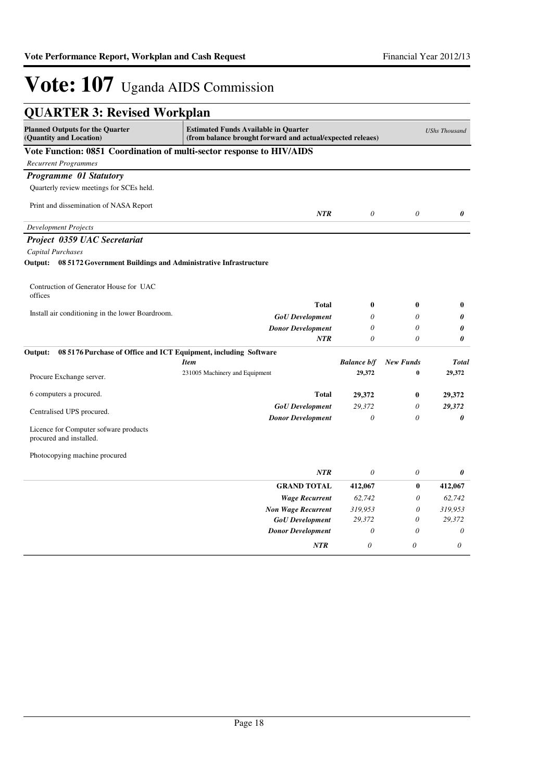| <b>QUARTER 3: Revised Workplan</b>                                                                                                                                             |                                               |                              |                       |                        |
|--------------------------------------------------------------------------------------------------------------------------------------------------------------------------------|-----------------------------------------------|------------------------------|-----------------------|------------------------|
| <b>Planned Outputs for the Quarter</b><br><b>Estimated Funds Available in Quarter</b><br>(Quantity and Location)<br>(from balance brought forward and actual/expected releaes) |                                               |                              |                       | <b>UShs Thousand</b>   |
| Vote Function: 0851 Coordination of multi-sector response to HIV/AIDS                                                                                                          |                                               |                              |                       |                        |
| <b>Recurrent Programmes</b>                                                                                                                                                    |                                               |                              |                       |                        |
| Programme 01 Statutory                                                                                                                                                         |                                               |                              |                       |                        |
| Quarterly review meetings for SCEs held.                                                                                                                                       |                                               |                              |                       |                        |
| Print and dissemination of NASA Report                                                                                                                                         | <b>NTR</b>                                    | $\theta$                     | $\theta$              | 0                      |
| <b>Development Projects</b>                                                                                                                                                    |                                               |                              |                       |                        |
| Project 0359 UAC Secretariat                                                                                                                                                   |                                               |                              |                       |                        |
| <b>Capital Purchases</b>                                                                                                                                                       |                                               |                              |                       |                        |
| Output: 08 5172 Government Buildings and Administrative Infrastructure                                                                                                         |                                               |                              |                       |                        |
| Contruction of Generator House for UAC<br>offices                                                                                                                              |                                               |                              |                       |                        |
|                                                                                                                                                                                | Total                                         | $\bf{0}$                     | $\bf{0}$              | $\bf{0}$               |
| Install air conditioning in the lower Boardroom.                                                                                                                               | <b>GoU</b> Development                        | 0                            | 0                     | 0                      |
|                                                                                                                                                                                | <b>Donor Development</b>                      | $\theta$                     | $\theta$              | 0                      |
|                                                                                                                                                                                | <b>NTR</b>                                    | $\theta$                     | $\theta$              | 0                      |
| 08 5176 Purchase of Office and ICT Equipment, including Software<br>Output:                                                                                                    |                                               |                              | <b>New Funds</b>      |                        |
|                                                                                                                                                                                | <b>Item</b><br>231005 Machinery and Equipment | <b>Balance b/f</b><br>29,372 | $\bf{0}$              | <b>Total</b><br>29,372 |
| Procure Exchange server.                                                                                                                                                       |                                               |                              |                       |                        |
| 6 computers a procured.                                                                                                                                                        | Total                                         | 29,372                       | $\bf{0}$              | 29,372                 |
|                                                                                                                                                                                | <b>GoU</b> Development                        | 29.372                       | $\theta$              | 29,372                 |
| Centralised UPS procured.                                                                                                                                                      | <b>Donor Development</b>                      | $\theta$                     | 0                     | 0                      |
| Licence for Computer sofware products<br>procured and installed.                                                                                                               |                                               |                              |                       |                        |
| Photocopying machine procured                                                                                                                                                  |                                               |                              |                       |                        |
|                                                                                                                                                                                | <b>NTR</b>                                    | $\theta$                     | $\theta$              | 0                      |
|                                                                                                                                                                                | <b>GRAND TOTAL</b>                            | 412,067                      | $\bf{0}$              | 412,067                |
|                                                                                                                                                                                | <b>Wage Recurrent</b>                         | 62,742                       | $\theta$              | 62,742                 |
|                                                                                                                                                                                | <b>Non Wage Recurrent</b>                     | 319,953                      | $\theta$              | 319,953                |
|                                                                                                                                                                                | <b>GoU</b> Development                        | 29,372                       | $\boldsymbol{\theta}$ | 29,372                 |
|                                                                                                                                                                                | <b>Donor Development</b>                      | $\theta$                     | $\theta$              | $\theta$               |
|                                                                                                                                                                                | <b>NTR</b>                                    | 0                            | $\theta$              | 0                      |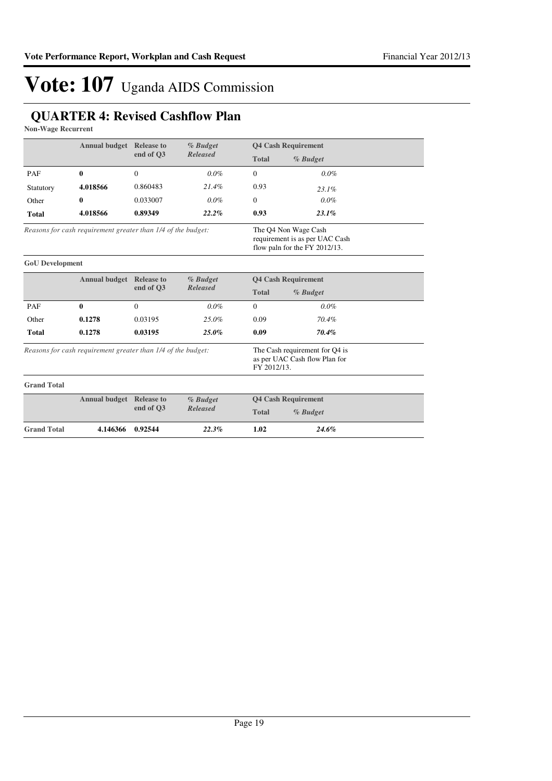## **QUARTER 4: Revised Cashflow Plan**

**Non-Wage Recurrent**

|                                                              | <b>Annual budget</b> Release to |                              | % Budget<br><b>Released</b>                                                             |              | <b>Q4 Cash Requirement</b> |  |
|--------------------------------------------------------------|---------------------------------|------------------------------|-----------------------------------------------------------------------------------------|--------------|----------------------------|--|
|                                                              |                                 | end of O3                    |                                                                                         | <b>Total</b> | % Budget                   |  |
| PAF                                                          | $\mathbf{0}$                    | $\Omega$                     | $0.0\%$                                                                                 | $\Omega$     | $0.0\%$                    |  |
| Statutory                                                    | 4.018566                        | 0.860483                     | 21.4%                                                                                   | 0.93         | 23.1%                      |  |
| Other                                                        | 0                               | 0.033007                     | $0.0\%$                                                                                 | $\Omega$     | $0.0\%$                    |  |
| <b>Total</b>                                                 | 4.018566                        | 0.89349                      | 22.2%                                                                                   | 0.93         | 23.1%                      |  |
| Reasons for cash requirement greater than 1/4 of the budget: |                                 |                              | The Q4 Non Wage Cash<br>requirement is as per UAC Cash<br>flow paln for the FY 2012/13. |              |                            |  |
| <b>GoU</b> Development                                       |                                 |                              |                                                                                         |              |                            |  |
|                                                              | <b>Annual budget</b> Release to | % Budget                     |                                                                                         |              | <b>Q4 Cash Requirement</b> |  |
|                                                              |                                 | <b>Released</b><br>end of O3 |                                                                                         | <b>Total</b> | % Budget                   |  |
| PAF                                                          | $\theta$                        | $\Omega$                     | $0.0\%$                                                                                 | $\Omega$     | $0.0\%$                    |  |
| Other                                                        | 0.1278                          | 0.03195                      | 25.0%                                                                                   | 0.09         | 70.4%                      |  |
| <b>Total</b>                                                 | 0.1278                          | 0.03195                      | $25.0\%$                                                                                | 0.09         | 70.4%                      |  |
| Reasons for cash requirement greater than 1/4 of the budget: |                                 | FY 2012/13.                  | The Cash requirement for Q4 is<br>as per UAC Cash flow Plan for                         |              |                            |  |
| <b>Grand Total</b>                                           |                                 |                              |                                                                                         |              |                            |  |
|                                                              | <b>Annual budget</b> Release to |                              | % Budget                                                                                |              | <b>Q4 Cash Requirement</b> |  |
| end of O3                                                    | <b>Released</b>                 | <b>Total</b>                 | % Budget                                                                                |              |                            |  |
| <b>Grand Total</b>                                           | 4.146366                        | 0.92544                      | 22.3%                                                                                   | 1.02         | 24.6%                      |  |